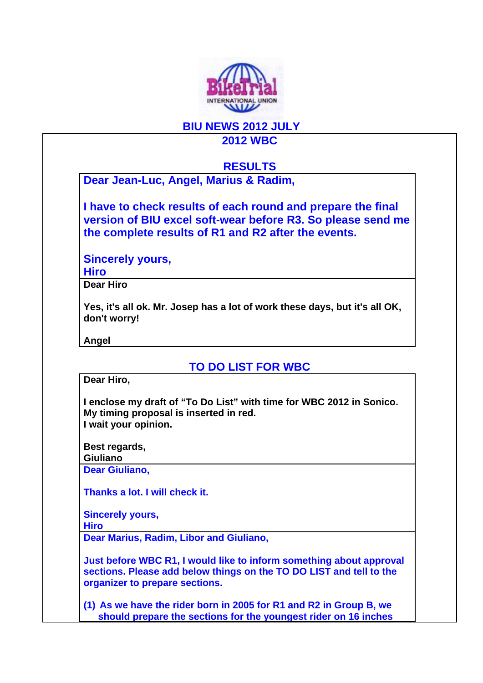

## **BIU NEWS 2012 JULY 2012 WBC**

## **RESULTS**

**Dear Jean-Luc, Angel, Marius & Radim,** 

**I have to check results of each round and prepare the final version of BIU excel soft-wear before R3. So please send me the complete results of R1 and R2 after the events.** 

**Sincerely yours,** 

**Hiro** 

**Dear Hiro** 

**Yes, it's all ok. Mr. Josep has a lot of work these days, but it's all OK, don't worry!** 

**Angel** 

**TO DO LIST FOR WBC** 

**Dear Hiro,** 

**I enclose my draft of "To Do List" with time for WBC 2012 in Sonico. My timing proposal is inserted in red. I wait your opinion.** 

**Best regards,** 

**Giuliano** 

**Dear Giuliano,** 

**Thanks a lot. I will check it.** 

**Sincerely yours,** 

**Hiro** 

**Dear Marius, Radim, Libor and Giuliano,** 

**Just before WBC R1, I would like to inform something about approval sections. Please add below things on the TO DO LIST and tell to the organizer to prepare sections.** 

**(1) As we have the rider born in 2005 for R1 and R2 in Group B, we should prepare the sections for the youngest rider on 16 inches**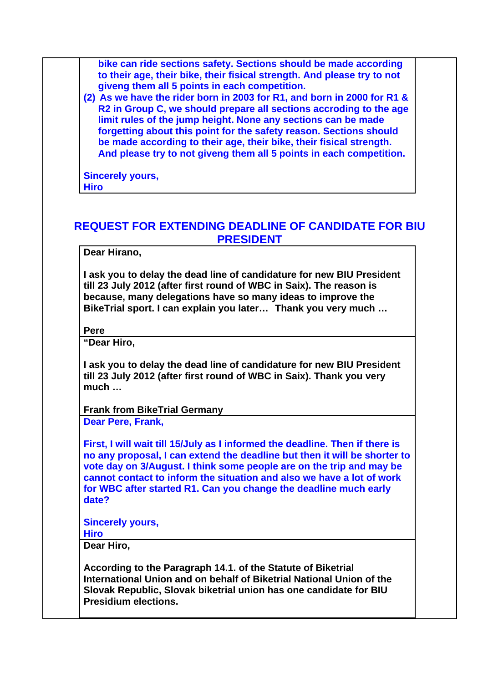**bike can ride sections safety. Sections should be made according to their age, their bike, their fisical strength. And please try to not giveng them all 5 points in each competition.** 

**(2) As we have the rider born in 2003 for R1, and born in 2000 for R1 & R2 in Group C, we should prepare all sections accroding to the age limit rules of the jump height. None any sections can be made forgetting about this point for the safety reason. Sections should be made according to their age, their bike, their fisical strength. And please try to not giveng them all 5 points in each competition.** 

**Sincerely yours, Hiro** 

## **REQUEST FOR EXTENDING DEADLINE OF CANDIDATE FOR BIU PRESIDENT**

**Dear Hirano,** 

**I ask you to delay the dead line of candidature for new BIU President till 23 July 2012 (after first round of WBC in Saix). The reason is because, many delegations have so many ideas to improve the BikeTrial sport. I can explain you later… Thank you very much …** 

**Pere** 

**"Dear Hiro,**

**I ask you to delay the dead line of candidature for new BIU President till 23 July 2012 (after first round of WBC in Saix). Thank you very much …**

**Frank from BikeTrial Germany** 

**Dear Pere, Frank,** 

**First, I will wait till 15/July as I informed the deadline. Then if there is no any proposal, I can extend the deadline but then it will be shorter to vote day on 3/August. I think some people are on the trip and may be cannot contact to inform the situation and also we have a lot of work for WBC after started R1. Can you change the deadline much early date?** 

**Sincerely yours,** 

**Hiro** 

**Dear Hiro,** 

**According to the Paragraph 14.1. of the Statute of Biketrial International Union and on behalf of Biketrial National Union of the Slovak Republic, Slovak biketrial union has one candidate for BIU Presidium elections.**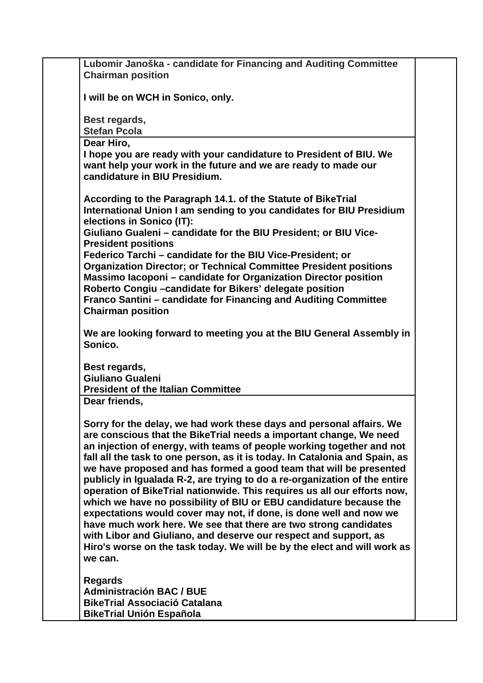| Lubomir Janoška - candidate for Financing and Auditing Committee                                                                       |
|----------------------------------------------------------------------------------------------------------------------------------------|
| <b>Chairman position</b>                                                                                                               |
| I will be on WCH in Sonico, only.                                                                                                      |
|                                                                                                                                        |
| Best regards,                                                                                                                          |
| <b>Stefan Pcola</b>                                                                                                                    |
| Dear Hiro,                                                                                                                             |
| I hope you are ready with your candidature to President of BIU. We                                                                     |
| want help your work in the future and we are ready to made our                                                                         |
| candidature in BIU Presidium.                                                                                                          |
|                                                                                                                                        |
| According to the Paragraph 14.1. of the Statute of BikeTrial<br>International Union I am sending to you candidates for BIU Presidium   |
| elections in Sonico (IT):                                                                                                              |
| Giuliano Gualeni - candidate for the BIU President; or BIU Vice-                                                                       |
| <b>President positions</b>                                                                                                             |
| Federico Tarchi - candidate for the BIU Vice-President; or                                                                             |
| <b>Organization Director; or Technical Committee President positions</b>                                                               |
| Massimo lacoponi - candidate for Organization Director position                                                                        |
| Roberto Congiu - candidate for Bikers' delegate position                                                                               |
| Franco Santini – candidate for Financing and Auditing Committee                                                                        |
| <b>Chairman position</b>                                                                                                               |
| We are looking forward to meeting you at the BIU General Assembly in                                                                   |
| Sonico.                                                                                                                                |
|                                                                                                                                        |
| Best regards,                                                                                                                          |
| <b>Giuliano Gualeni</b>                                                                                                                |
| <b>President of the Italian Committee</b><br>Dear friends,                                                                             |
|                                                                                                                                        |
| Sorry for the delay, we had work these days and personal affairs. We                                                                   |
| are conscious that the BikeTrial needs a important change, We need                                                                     |
| an injection of energy, with teams of people working together and not                                                                  |
| fall all the task to one person, as it is today. In Catalonia and Spain, as                                                            |
| we have proposed and has formed a good team that will be presented                                                                     |
| publicly in Igualada R-2, are trying to do a re-organization of the entire                                                             |
| operation of BikeTrial nationwide. This requires us all our efforts now,                                                               |
| which we have no possibility of BIU or EBU candidature because the                                                                     |
| expectations would cover may not, if done, is done well and now we<br>have much work here. We see that there are two strong candidates |
| with Libor and Giuliano, and deserve our respect and support, as                                                                       |
| Hiro's worse on the task today. We will be by the elect and will work as                                                               |
| we can.                                                                                                                                |
|                                                                                                                                        |
| <b>Regards</b>                                                                                                                         |
| <b>Administración BAC / BUE</b>                                                                                                        |
| <b>BikeTrial Associació Catalana</b><br><b>BikeTrial Unión Española</b>                                                                |
|                                                                                                                                        |